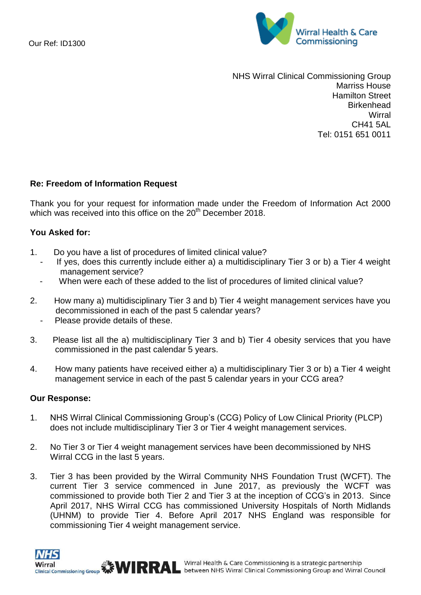

NHS Wirral Clinical Commissioning Group Marriss House Hamilton Street **Birkenhead Wirral** CH41 5AL Tel: 0151 651 0011

## **Re: Freedom of Information Request**

Thank you for your request for information made under the Freedom of Information Act 2000 which was received into this office on the 20<sup>th</sup> December 2018.

## **You Asked for:**

- 1. Do you have a list of procedures of limited clinical value?
	- If yes, does this currently include either a) a multidisciplinary Tier 3 or b) a Tier 4 weight management service?
	- When were each of these added to the list of procedures of limited clinical value?
- 2. How many a) multidisciplinary Tier 3 and b) Tier 4 weight management services have you decommissioned in each of the past 5 calendar years?
	- Please provide details of these.
- 3. Please list all the a) multidisciplinary Tier 3 and b) Tier 4 obesity services that you have commissioned in the past calendar 5 years.
- 4. How many patients have received either a) a multidisciplinary Tier 3 or b) a Tier 4 weight management service in each of the past 5 calendar years in your CCG area?

## **Our Response:**

- 1. NHS Wirral Clinical Commissioning Group's (CCG) Policy of Low Clinical Priority (PLCP) does not include multidisciplinary Tier 3 or Tier 4 weight management services.
- 2. No Tier 3 or Tier 4 weight management services have been decommissioned by NHS Wirral CCG in the last 5 years.
- 3. Tier 3 has been provided by the Wirral Community NHS Foundation Trust (WCFT). The current Tier 3 service commenced in June 2017, as previously the WCFT was commissioned to provide both Tier 2 and Tier 3 at the inception of CCG's in 2013. Since April 2017, NHS Wirral CCG has commissioned University Hospitals of North Midlands (UHNM) to provide Tier 4. Before April 2017 NHS England was responsible for commissioning Tier 4 weight management service.